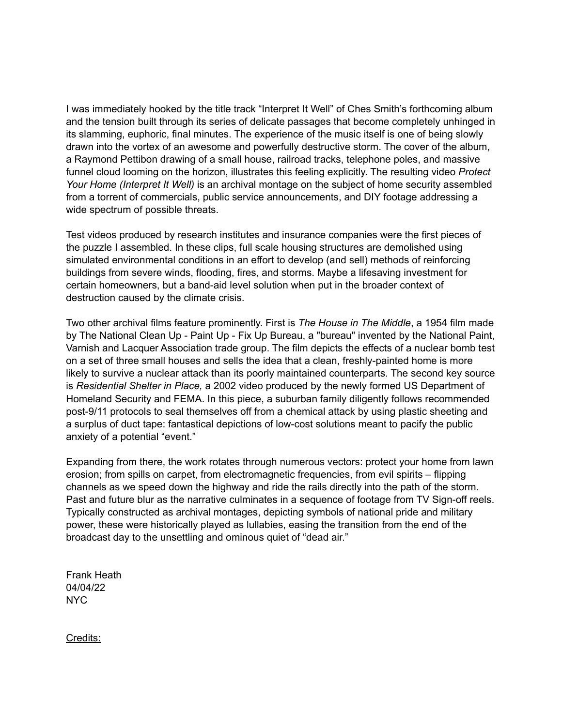I was immediately hooked by the title track "Interpret It Well" of Ches Smith's forthcoming album and the tension built through its series of delicate passages that become completely unhinged in its slamming, euphoric, final minutes. The experience of the music itself is one of being slowly drawn into the vortex of an awesome and powerfully destructive storm. The cover of the album, a Raymond Pettibon drawing of a small house, railroad tracks, telephone poles, and massive funnel cloud looming on the horizon, illustrates this feeling explicitly. The resulting video *Protect Your Home (Interpret It Well)* is an archival montage on the subject of home security assembled from a torrent of commercials, public service announcements, and DIY footage addressing a wide spectrum of possible threats.

Test videos produced by research institutes and insurance companies were the first pieces of the puzzle I assembled. In these clips, full scale housing structures are demolished using simulated environmental conditions in an effort to develop (and sell) methods of reinforcing buildings from severe winds, flooding, fires, and storms. Maybe a lifesaving investment for certain homeowners, but a band-aid level solution when put in the broader context of destruction caused by the climate crisis.

Two other archival films feature prominently. First is *The House in The Middle*, a 1954 film made by The National Clean Up - Paint Up - Fix Up Bureau, a "bureau" invented by the National Paint, Varnish and Lacquer Association trade group. The film depicts the effects of a nuclear bomb test on a set of three small houses and sells the idea that a clean, freshly-painted home is more likely to survive a nuclear attack than its poorly maintained counterparts. The second key source is *Residential Shelter in Place,* a 2002 video produced by the newly formed US Department of Homeland Security and FEMA. In this piece, a suburban family diligently follows recommended post-9/11 protocols to seal themselves off from a chemical attack by using plastic sheeting and a surplus of duct tape: fantastical depictions of low-cost solutions meant to pacify the public anxiety of a potential "event."

Expanding from there, the work rotates through numerous vectors: protect your home from lawn erosion; from spills on carpet, from electromagnetic frequencies, from evil spirits – flipping channels as we speed down the highway and ride the rails directly into the path of the storm. Past and future blur as the narrative culminates in a sequence of footage from TV Sign-off reels. Typically constructed as archival montages, depicting symbols of national pride and military power, these were historically played as lullabies, easing the transition from the end of the broadcast day to the unsettling and ominous quiet of "dead air."

Frank Heath 04/04/22 NYC

Credits: